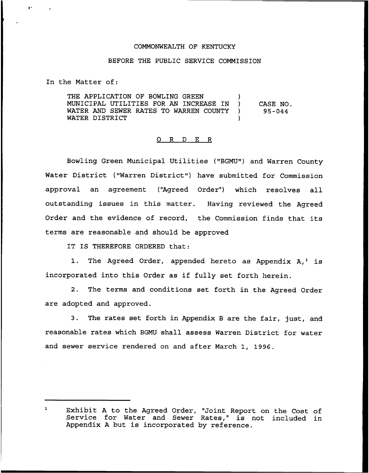## COMMONWEALTH OF KENTUCKY

## BEFORE THE PUBLIC SERVICE COMMISSION

In the Matter of:

THE APPLICATION OF BOWLING GREEN  $)$ MUNICIPAL UTILITIES FOR AN INCREASE IN )<br>WATER AND SEWER RATES TO WARREN COUNTY ) WATER AND SEWER RATES TO WARREN COUNTY WATER DISTRICT CASE NO. 95-044

## 0 <sup>R</sup> <sup>D</sup> E R

Bowling Green Municipal Utilities ("BGMU") and Warren County Water District ("Warren District") have submitted for Commission approval an agreement ("Agreed Order") which resolves all outstanding issues in this matter. Having reviewed the Agreed Order and the evidence of record, the Commission finds that its terms are reasonable and should be approved

IT IS THEREFORE ORDERED that:

1. The Agreed Order, appended hereto as Appendix  $A,$ <sup>1</sup> is incorporated into this Order as if fully set forth herein.

2. The terms and conditions set forth in the Agreed Order are adopted and approved.

3. The rates set forth in Appendix <sup>B</sup> are the fair, just, and reasonable rates which BGMU shall assess Warren District for water and sewer service rendered on and after March 1, 1996.

 $\mathbf{1}$ Exhibit <sup>A</sup> to the Agreed Order, "Joint Report on the Cost of Service for Water and Sewer Rates," is not included in Appendix <sup>A</sup> but is incorporated by reference.